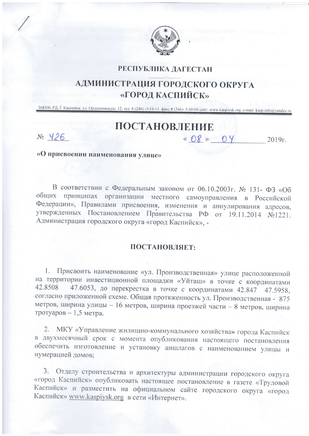

## РЕСПУБЛИКА ДАГЕСТАН

## АДМИНИСТРАЦИЯ ГОРОДСКОГО ОКРУГА «ГОРОД КАСПИЙСК»

368300, РД, г. Каспийск, ул. Орджоникидзе, 12, тел. 8 (246) -5-14-11, факс 8 (246)- 5-10-00 сайт: www.kaspiysk.org, e-mail: kasp.info@yandex.ru

## ПОСТАНОВЛЕНИЕ

 $N_2$   $426$ 

« 08 » 04  $2019r$ .

«О присвоении наименования улице»

В соответствии с Федеральным законом от 06.10.2003г. № 131- ФЗ «Об общих принципах организации местного самоуправления в Российской Федерации», Правилами присвоения, изменения и аннулирования адресов, утвержденных Постановлением Правительства РФ от 19.11.2014 №1221. Администрация городского округа «город Каспийск», -

## ПОСТАНОВЛЯЕТ:

1. Присвоить наименование «ул. Производственная» улице расположенной на территории инвестиционной площадки «Уйташ» в точке с координатами 47.6053, до перекрестка в точке с координатами 42.847 47.5958, 42.8508 согласно приложенной схеме. Общая протяженность ул. Производственная - 875 метров, ширина улицы - 16 метров, ширина проезжей части - 8 метров, ширина тротуаров - 1,5 метра.

2. МКУ «Управление жилищно-коммунального хозяйства» города Каспийск в двухмесячный срок с момента опубликования настоящего постановления обеспечить изготовление и установку аншлагов с наименованием улицы и нумерацией домов:

3. Отделу строительства и архитектуры администрации городского округа «город Каспийск» опубликовать настоящее постановление в газете «Трудовой Каспийск» и разместить на официальном сайте городского округа «город Каспийск» www.kaspiysk.org в сети «Интернет».